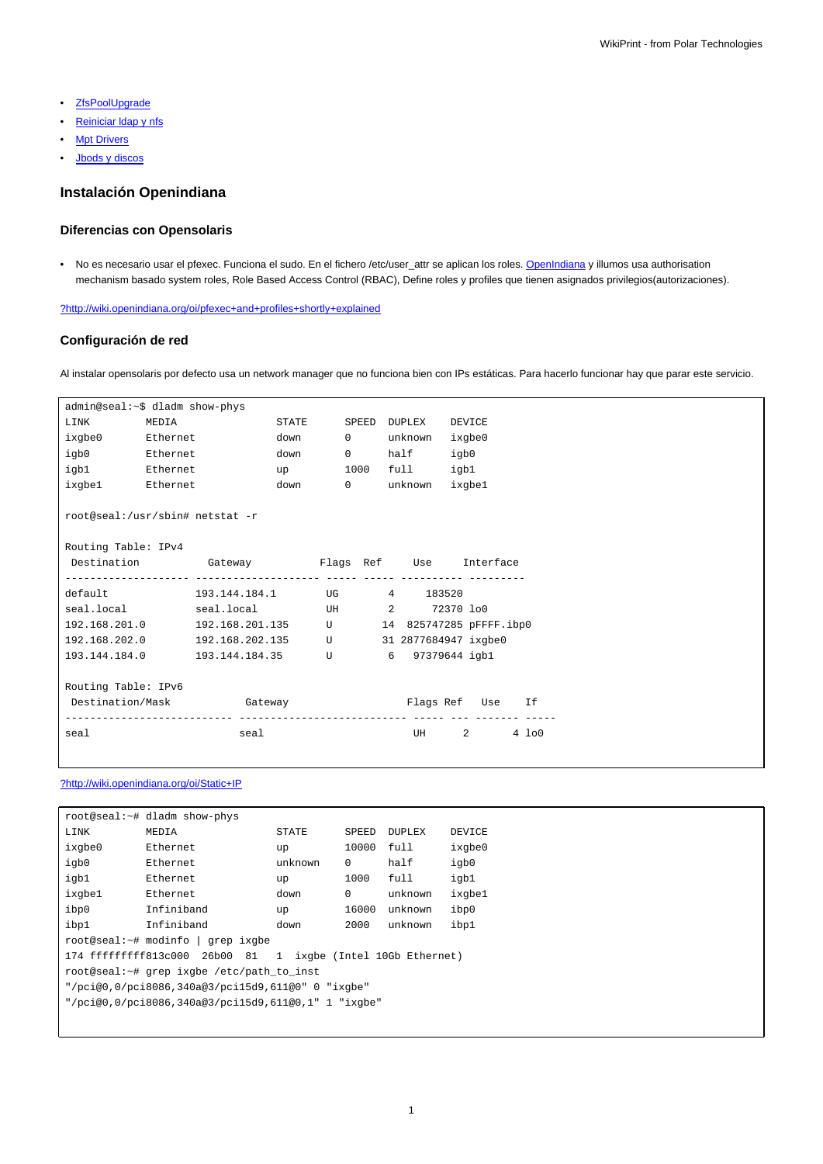- [ZfsPoolUpgrade](https://meteo.unican.es/trac/wiki/Equipos/Seal/ZfsPoolUpgrade)
- Reiniciar Idap y nfs
- **[Mpt Drivers](https://meteo.unican.es/trac/wiki/Equipos/Seal/MptDrivers)**
- [Jbods y discos](https://meteo.unican.es/trac/wiki/Equipos/Seal/Jbods)

# **Instalación Openindiana**

# **Diferencias con Opensolaris**

• No es necesario usar el pfexec. Funciona el sudo. En el fichero /etc/user\_attr se aplican los roles. [OpenIndiana](https://meteo.unican.es/trac/wiki/Equipos/Seal/OpenIndiana) y illumos usa authorisation mechanism basado system roles, Role Based Access Control (RBAC), Define roles y profiles que tienen asignados privilegios(autorizaciones).

[?http://wiki.openindiana.org/oi/pfexec+and+profiles+shortly+explained](http://wiki.openindiana.org/oi/pfexec+and+profiles+shortly+explained)

# **Configuración de red**

Al instalar opensolaris por defecto usa un network manager que no funciona bien con IPs estáticas. Para hacerlo funcionar hay que parar este servicio.

| admin@seal:~\$ dladm show-phys                                  |       |                                                         |               |  |                   |                  |      |                                |          |
|-----------------------------------------------------------------|-------|---------------------------------------------------------|---------------|--|-------------------|------------------|------|--------------------------------|----------|
| LINK                                                            | MEDIA |                                                         | STATE         |  |                   | SPEED DUPLEX     |      | DEVICE                         |          |
| ixqbe0 Ethernet                                                 |       |                                                         | down          |  | $0 \qquad \qquad$ | unknown          |      | ixgbe0                         |          |
| igb0 Ethernet                                                   |       |                                                         | down          |  |                   | 0 half           | igb0 |                                |          |
| igb1 Ethernet                                                   |       |                                                         | $up$ and $up$ |  |                   | 1000 full        | igbl |                                |          |
| ixgbel Ethernet                                                 |       |                                                         | down          |  |                   | 0 unknown ixgbel |      |                                |          |
| root@seal:/usr/sbin# netstat -r                                 |       |                                                         |               |  |                   |                  |      |                                |          |
| Routing Table: IPv4                                             |       |                                                         |               |  |                   |                  |      |                                |          |
|                                                                 |       | Destination  Gateway  Garega  Flags Ref  Use  Interface |               |  |                   |                  |      |                                |          |
|                                                                 |       |                                                         |               |  |                   |                  |      |                                |          |
| default                                                         |       | 193.144.184.1  UG    4    183520                        |               |  |                   |                  |      |                                |          |
|                                                                 |       | seal.local seal.local UH 2 72370 lo0                    |               |  |                   |                  |      |                                |          |
| 192.168.201.0   192.168.201.135   U   14 825747285   pFFFF.ibp0 |       |                                                         |               |  |                   |                  |      |                                |          |
| 192.168.202.0   192.168.202.135   U   31 2877684947 ixgbe0      |       |                                                         |               |  |                   |                  |      |                                |          |
| 193.144.184.0    193.144.184.35    U    6    97379644    iqbl   |       |                                                         |               |  |                   |                  |      |                                |          |
|                                                                 |       |                                                         |               |  |                   |                  |      |                                |          |
| Routing Table: IPv6                                             |       |                                                         |               |  |                   |                  |      |                                |          |
| Destination/Mask Gateway                                        |       |                                                         |               |  |                   | Flags Ref Use    |      |                                | Ιf       |
| seal                                                            |       | seal                                                    |               |  |                   | UH <b>UM</b>     |      | $2 \left( \frac{1}{2} \right)$ | $4\;100$ |
|                                                                 |       |                                                         |               |  |                   |                  |      |                                |          |

#### [?http://wiki.openindiana.org/oi/Static+IP](http://wiki.openindiana.org/oi/Static+IP)

| root@seal:~# dladm show-phys                                    |            |              |          |               |        |  |  |  |
|-----------------------------------------------------------------|------------|--------------|----------|---------------|--------|--|--|--|
| LINK                                                            | MEDIA      | <b>STATE</b> | SPEED    | <b>DUPLEX</b> | DEVICE |  |  |  |
| ixgbe0                                                          | Ethernet   | up           | 10000    | full          | ixgbe0 |  |  |  |
| igb0                                                            | Ethernet.  | unknown      | $\Omega$ | half          | igb0   |  |  |  |
| igb1                                                            | Ethernet.  | up           | 1000     | full          | igb1   |  |  |  |
| ixgbe1                                                          | Ethernet.  | down         | $\Omega$ | unknown       | ixgbe1 |  |  |  |
| ibp0                                                            | Infiniband | up           | 16000    | unknown       | ibp0   |  |  |  |
| ibp1                                                            | Infiniband | down         | 2000     | unknown       | ibp1   |  |  |  |
| root@seal:~# modinfo   grep ixgbe                               |            |              |          |               |        |  |  |  |
| 174 ffffffffff813c000 26b00 81<br>1 ixqbe (Intel 10Gb Ethernet) |            |              |          |               |        |  |  |  |
| root@seal:~# grep ixgbe /etc/path to inst                       |            |              |          |               |        |  |  |  |
| "/pci@0,0/pci8086,340a@3/pci15d9,611@0" 0 "ixqbe"               |            |              |          |               |        |  |  |  |
| "/pci@0,0/pci8086,340a@3/pci15d9,611@0,1" 1 "ixqbe"             |            |              |          |               |        |  |  |  |
|                                                                 |            |              |          |               |        |  |  |  |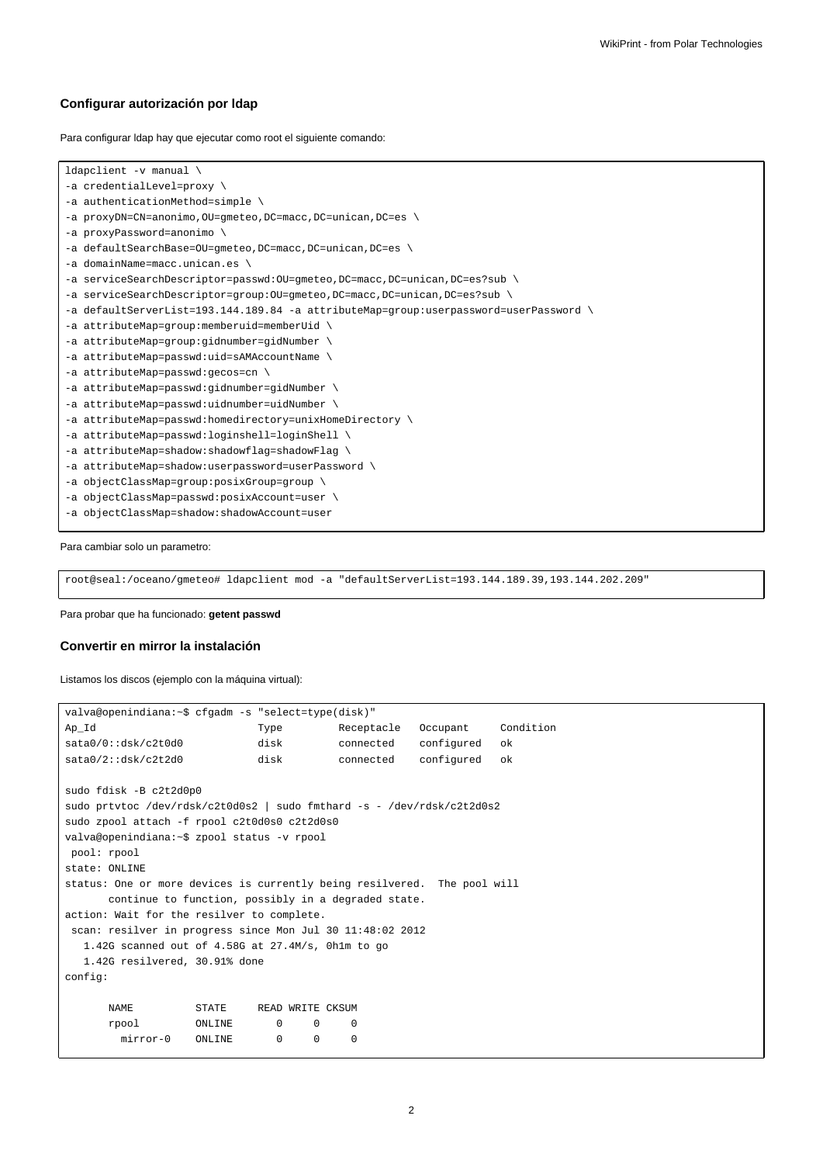### **Configurar autorización por ldap**

Para configurar ldap hay que ejecutar como root el siguiente comando:

```
ldapclient -v manual \
-a credentialLevel=proxy \
-a authenticationMethod=simple \
-a proxyDN=CN=anonimo,OU=gmeteo,DC=macc,DC=unican,DC=es \
-a proxyPassword=anonimo \
-a defaultSearchBase=OU=gmeteo,DC=macc,DC=unican,DC=es \
-a domainName=macc.unican.es \
-a serviceSearchDescriptor=passwd:OU=gmeteo,DC=macc,DC=unican,DC=es?sub \
-a serviceSearchDescriptor=group:OU=gmeteo,DC=macc,DC=unican,DC=es?sub \
-a defaultServerList=193.144.189.84 -a attributeMap=group:userpassword=userPassword \
-a attributeMap=group:memberuid=memberUid \
-a attributeMap=group:gidnumber=gidNumber \
-a attributeMap=passwd:uid=sAMAccountName \
-a attributeMap=passwd:gecos=cn \
-a attributeMap=passwd:gidnumber=gidNumber \
-a attributeMap=passwd:uidnumber=uidNumber \
-a attributeMap=passwd:homedirectory=unixHomeDirectory \
-a attributeMap=passwd:loginshell=loginShell \
-a attributeMap=shadow:shadowflag=shadowFlag \
-a attributeMap=shadow:userpassword=userPassword \
-a objectClassMap=group:posixGroup=group \
-a objectClassMap=passwd:posixAccount=user \
-a objectClassMap=shadow:shadowAccount=user
```
Para cambiar solo un parametro:

root@seal:/oceano/gmeteo# ldapclient mod -a "defaultServerList=193.144.189.39,193.144.202.209"

Para probar que ha funcionado: **getent passwd**

#### **Convertir en mirror la instalación**

Listamos los discos (ejemplo con la máquina virtual):

```
valva@openindiana:~$ cfgadm -s "select=type(disk)"
Ap_Id Type Receptacle Occupant Condition
sata0/0::dsk/c2t0d0 disk connected configured ok
sata0/2::dsk/c2t2d0 disk connected configured ok
sudo fdisk -B c2t2d0p0
sudo prtvtoc /dev/rdsk/c2t0d0s2 | sudo fmthard -s - /dev/rdsk/c2t2d0s2
sudo zpool attach -f rpool c2t0d0s0 c2t2d0s0
valva@openindiana:~$ zpool status -v rpool
pool: rpool
state: ONLINE
status: One or more devices is currently being resilvered. The pool will
     continue to function, possibly in a degraded state.
action: Wait for the resilver to complete.
scan: resilver in progress since Mon Jul 30 11:48:02 2012
  1.42G scanned out of 4.58G at 27.4M/s, 0h1m to go
  1.42G resilvered, 30.91% done
config:
     NAME STATE READ WRITE CKSUM
     rpool ONLINE 0 0 0
       mirror-0 ONLINE 0 0 0
```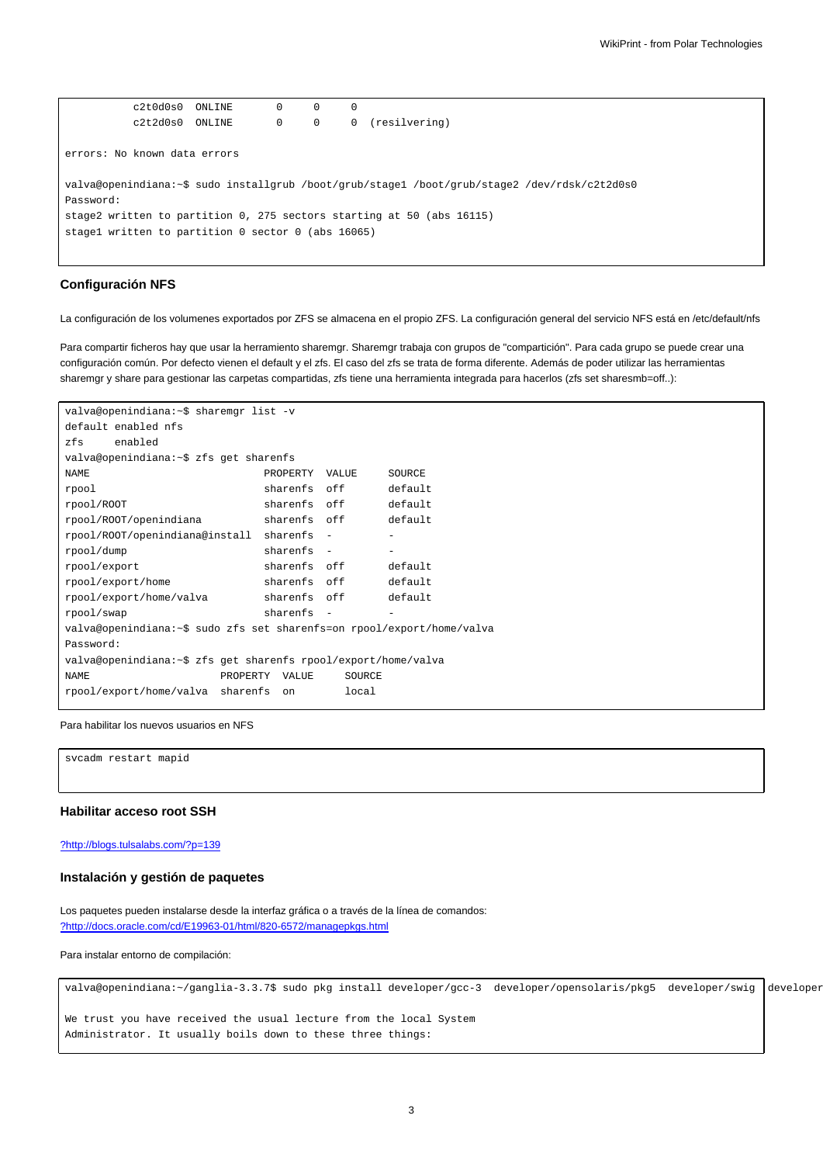$c2t0d0s0$   $ONLINE$   $0$   $0$   $0$ c2t2d0s0 ONLINE 0 0 0 (resilvering) errors: No known data errors valva@openindiana:~\$ sudo installgrub /boot/grub/stage1 /boot/grub/stage2 /dev/rdsk/c2t2d0s0 Password: stage2 written to partition 0, 275 sectors starting at 50 (abs 16115) stage1 written to partition 0 sector 0 (abs 16065)

# **Configuración NFS**

La configuración de los volumenes exportados por ZFS se almacena en el propio ZFS. La configuración general del servicio NFS está en /etc/default/nfs

Para compartir ficheros hay que usar la herramiento sharemgr. Sharemgr trabaja con grupos de "compartición". Para cada grupo se puede crear una configuración común. Por defecto vienen el default y el zfs. El caso del zfs se trata de forma diferente. Además de poder utilizar las herramientas sharemgr y share para gestionar las carpetas compartidas, zfs tiene una herramienta integrada para hacerlos (zfs set sharesmb=off..):

```
valva@openindiana:~$ sharemgr list -v
default enabled nfs
zfs enabled
valva@openindiana:~$ zfs get sharenfs
NAME NAME PROPERTY VALUE SOURCE
rpool sharenfs off default
rpool/ROOT sharenfs off default
rpool/ROOT/openindiana sharenfs off default
rpool/ROOT/openindiana@install sharenfs - -
rpool/dump sharenfs - -
rpool/export sharenfs off default
rpool/export/home sharenfs off default
rpool/export/home/valva sharenfs off default
rpool/swap sharenfs -
valva@openindiana:~$ sudo zfs set sharenfs=on rpool/export/home/valva
Password:
valva@openindiana:~$ zfs get sharenfs rpool/export/home/valva
NAME PROPERTY VALUE SOURCE
rpool/export/home/valva sharenfs on local
```
#### Para habilitar los nuevos usuarios en NFS

svcadm restart mapid

## **Habilitar acceso root SSH**

#### [?http://blogs.tulsalabs.com/?p=139](http://blogs.tulsalabs.com/?p=139)

#### **Instalación y gestión de paquetes**

Los paquetes pueden instalarse desde la interfaz gráfica o a través de la línea de comandos: [?http://docs.oracle.com/cd/E19963-01/html/820-6572/managepkgs.html](http://docs.oracle.com/cd/E19963-01/html/820-6572/managepkgs.html)

Para instalar entorno de compilación:

valva@openindiana:~/ganglia-3.3.7\$ sudo pkg install developer/gcc-3 developer/opensolaris/pkg5 developer/swig developer

We trust you have received the usual lecture from the local System Administrator. It usually boils down to these three things: